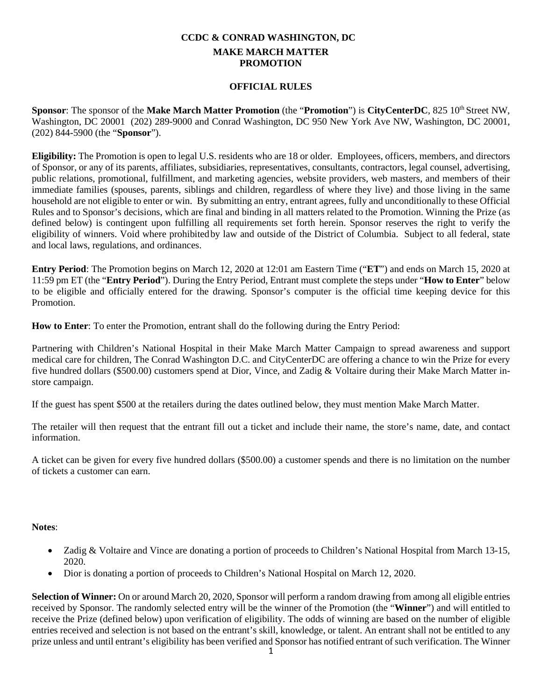## **CCDC & CONRAD WASHINGTON, DC MAKE MARCH MATTER PROMOTION**

## **OFFICIAL RULES**

**Sponsor:** The sponsor of the **Make March Matter Promotion** (the "**Promotion**") is **CityCenterDC**, 825 10<sup>th</sup> Street NW, Washington, DC 20001 (202) 289-9000 and Conrad Washington, DC 950 New York Ave NW, Washington, DC 20001, (202) 844-5900 (the "**Sponsor**").

**Eligibility:** The Promotion is open to legal U.S. residents who are 18 or older*.* Employees, officers, members, and directors of Sponsor, or any of its parents, affiliates, subsidiaries, representatives, consultants, contractors, legal counsel, advertising, public relations, promotional, fulfillment, and marketing agencies, website providers, web masters, and members of their immediate families (spouses, parents, siblings and children, regardless of where they live) and those living in the same household are not eligible to enter or win. By submitting an entry, entrant agrees, fully and unconditionally to these Official Rules and to Sponsor's decisions, which are final and binding in all matters related to the Promotion. Winning the Prize (as defined below) is contingent upon fulfilling all requirements set forth herein. Sponsor reserves the right to verify the eligibility of winners. Void where prohibitedby law and outside of the District of Columbia. Subject to all federal, state and local laws, regulations, and ordinances.

**Entry Period**: The Promotion begins on March 12, 2020 at 12:01 am Eastern Time ("**ET**") and ends on March 15, 2020 at 11:59 pm ET (the "**Entry Period**"). During the Entry Period, Entrant must complete the steps under "**How to Enter**" below to be eligible and officially entered for the drawing. Sponsor's computer is the official time keeping device for this Promotion.

**How to Enter**: To enter the Promotion, entrant shall do the following during the Entry Period:

Partnering with Children's National Hospital in their Make March Matter Campaign to spread awareness and support medical care for children, The Conrad Washington D.C. and CityCenterDC are offering a chance to win the Prize for every five hundred dollars (\$500.00) customers spend at Dior, Vince, and Zadig & Voltaire during their Make March Matter instore campaign.

If the guest has spent \$500 at the retailers during the dates outlined below, they must mention Make March Matter.

The retailer will then request that the entrant fill out a ticket and include their name, the store's name, date, and contact information.

A ticket can be given for every five hundred dollars (\$500.00) a customer spends and there is no limitation on the number of tickets a customer can earn.

## **Notes**:

- Zadig & Voltaire and Vince are donating a portion of proceeds to Children's National Hospital from March 13-15, 2020.
- Dior is donating a portion of proceeds to Children's National Hospital on March 12, 2020.

**Selection of Winner:** On or around March 20, 2020, Sponsor will perform a random drawing from among all eligible entries received by Sponsor. The randomly selected entry will be the winner of the Promotion (the "**Winner**") and will entitled to receive the Prize (defined below) upon verification of eligibility. The odds of winning are based on the number of eligible entries received and selection is not based on the entrant's skill, knowledge, or talent. An entrant shall not be entitled to any prize unless and until entrant's eligibility has been verified and Sponsor has notified entrant of such verification. The Winner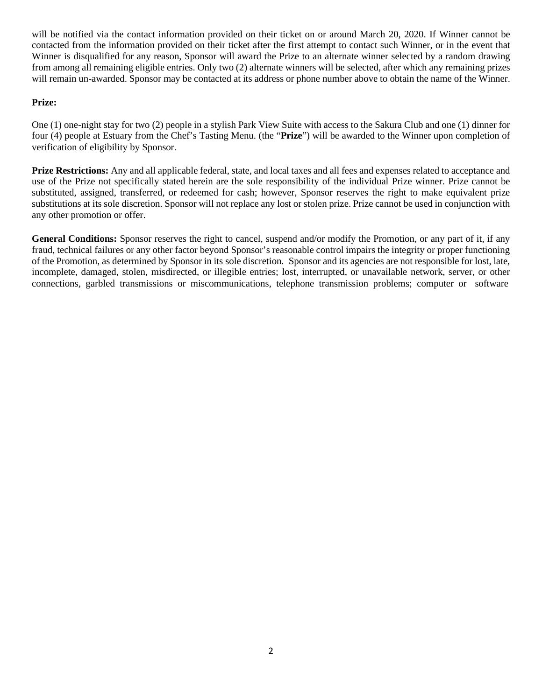will be notified via the contact information provided on their ticket on or around March 20, 2020. If Winner cannot be contacted from the information provided on their ticket after the first attempt to contact such Winner, or in the event that Winner is disqualified for any reason, Sponsor will award the Prize to an alternate winner selected by a random drawing from among all remaining eligible entries. Only two (2) alternate winners will be selected, after which any remaining prizes will remain un-awarded. Sponsor may be contacted at its address or phone number above to obtain the name of the Winner.

## **Prize:**

One (1) one-night stay for two (2) people in a stylish Park View Suite with access to the Sakura Club and one (1) dinner for four (4) people at Estuary from the Chef's Tasting Menu. (the "**Prize**") will be awarded to the Winner upon completion of verification of eligibility by Sponsor.

**Prize Restrictions:** Any and all applicable federal, state, and local taxes and all fees and expenses related to acceptance and use of the Prize not specifically stated herein are the sole responsibility of the individual Prize winner. Prize cannot be substituted, assigned, transferred, or redeemed for cash; however, Sponsor reserves the right to make equivalent prize substitutions at its sole discretion. Sponsor will not replace any lost or stolen prize. Prize cannot be used in conjunction with any other promotion or offer.

**General Conditions:** Sponsor reserves the right to cancel, suspend and/or modify the Promotion, or any part of it, if any fraud, technical failures or any other factor beyond Sponsor's reasonable control impairs the integrity or proper functioning of the Promotion, as determined by Sponsor in its sole discretion. Sponsor and its agencies are not responsible for lost, late, incomplete, damaged, stolen, misdirected, or illegible entries; lost, interrupted, or unavailable network, server, or other connections, garbled transmissions or miscommunications, telephone transmission problems; computer or software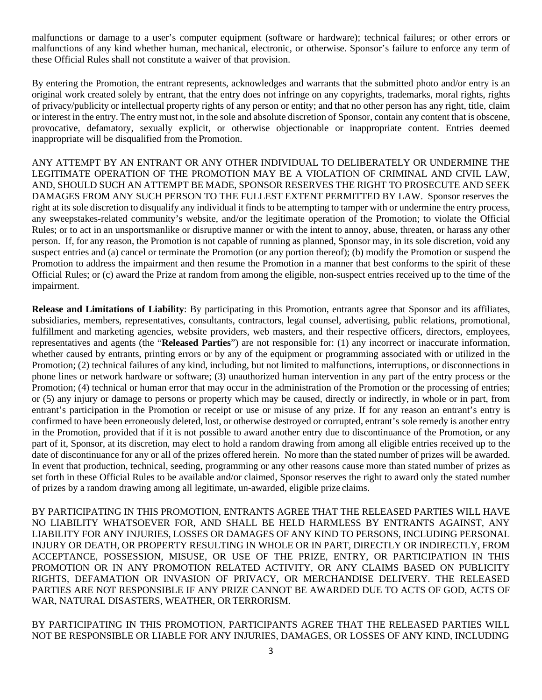malfunctions or damage to a user's computer equipment (software or hardware); technical failures; or other errors or malfunctions of any kind whether human, mechanical, electronic, or otherwise. Sponsor's failure to enforce any term of these Official Rules shall not constitute a waiver of that provision.

By entering the Promotion, the entrant represents, acknowledges and warrants that the submitted photo and/or entry is an original work created solely by entrant, that the entry does not infringe on any copyrights, trademarks, moral rights, rights of privacy/publicity or intellectual property rights of any person or entity; and that no other person has any right, title, claim or interest in the entry. The entry must not, in the sole and absolute discretion of Sponsor, contain any content that is obscene, provocative, defamatory, sexually explicit, or otherwise objectionable or inappropriate content. Entries deemed inappropriate will be disqualified from the Promotion.

ANY ATTEMPT BY AN ENTRANT OR ANY OTHER INDIVIDUAL TO DELIBERATELY OR UNDERMINE THE LEGITIMATE OPERATION OF THE PROMOTION MAY BE A VIOLATION OF CRIMINAL AND CIVIL LAW, AND, SHOULD SUCH AN ATTEMPT BE MADE, SPONSOR RESERVES THE RIGHT TO PROSECUTE AND SEEK DAMAGES FROM ANY SUCH PERSON TO THE FULLEST EXTENT PERMITTED BY LAW. Sponsor reserves the right at its sole discretion to disqualify any individual it finds to be attempting to tamper with or undermine the entry process, any sweepstakes-related community's website, and/or the legitimate operation of the Promotion; to violate the Official Rules; or to act in an unsportsmanlike or disruptive manner or with the intent to annoy, abuse, threaten, or harass any other person. If, for any reason, the Promotion is not capable of running as planned, Sponsor may, in its sole discretion, void any suspect entries and (a) cancel or terminate the Promotion (or any portion thereof); (b) modify the Promotion or suspend the Promotion to address the impairment and then resume the Promotion in a manner that best conforms to the spirit of these Official Rules; or (c) award the Prize at random from among the eligible, non-suspect entries received up to the time of the impairment.

**Release and Limitations of Liability**: By participating in this Promotion, entrants agree that Sponsor and its affiliates, subsidiaries, members, representatives, consultants, contractors, legal counsel, advertising, public relations, promotional, fulfillment and marketing agencies, website providers, web masters, and their respective officers, directors, employees, representatives and agents (the "**Released Parties**") are not responsible for: (1) any incorrect or inaccurate information, whether caused by entrants, printing errors or by any of the equipment or programming associated with or utilized in the Promotion; (2) technical failures of any kind, including, but not limited to malfunctions, interruptions, or disconnections in phone lines or network hardware or software; (3) unauthorized human intervention in any part of the entry process or the Promotion; (4) technical or human error that may occur in the administration of the Promotion or the processing of entries; or (5) any injury or damage to persons or property which may be caused, directly or indirectly, in whole or in part, from entrant's participation in the Promotion or receipt or use or misuse of any prize. If for any reason an entrant's entry is confirmed to have been erroneously deleted, lost, or otherwise destroyed or corrupted, entrant's sole remedy is another entry in the Promotion, provided that if it is not possible to award another entry due to discontinuance of the Promotion, or any part of it, Sponsor, at its discretion, may elect to hold a random drawing from among all eligible entries received up to the date of discontinuance for any or all of the prizes offered herein. No more than the stated number of prizes will be awarded. In event that production, technical, seeding, programming or any other reasons cause more than stated number of prizes as set forth in these Official Rules to be available and/or claimed, Sponsor reserves the right to award only the stated number of prizes by a random drawing among all legitimate, un-awarded, eligible prize claims.

BY PARTICIPATING IN THIS PROMOTION, ENTRANTS AGREE THAT THE RELEASED PARTIES WILL HAVE NO LIABILITY WHATSOEVER FOR, AND SHALL BE HELD HARMLESS BY ENTRANTS AGAINST, ANY LIABILITY FOR ANY INJURIES, LOSSES OR DAMAGES OF ANY KIND TO PERSONS, INCLUDING PERSONAL INJURY OR DEATH, OR PROPERTY RESULTING IN WHOLE OR IN PART, DIRECTLY OR INDIRECTLY, FROM ACCEPTANCE, POSSESSION, MISUSE, OR USE OF THE PRIZE, ENTRY, OR PARTICIPATION IN THIS PROMOTION OR IN ANY PROMOTION RELATED ACTIVITY, OR ANY CLAIMS BASED ON PUBLICITY RIGHTS, DEFAMATION OR INVASION OF PRIVACY, OR MERCHANDISE DELIVERY. THE RELEASED PARTIES ARE NOT RESPONSIBLE IF ANY PRIZE CANNOT BE AWARDED DUE TO ACTS OF GOD, ACTS OF WAR, NATURAL DISASTERS, WEATHER, OR TERRORISM.

BY PARTICIPATING IN THIS PROMOTION, PARTICIPANTS AGREE THAT THE RELEASED PARTIES WILL NOT BE RESPONSIBLE OR LIABLE FOR ANY INJURIES, DAMAGES, OR LOSSES OF ANY KIND, INCLUDING